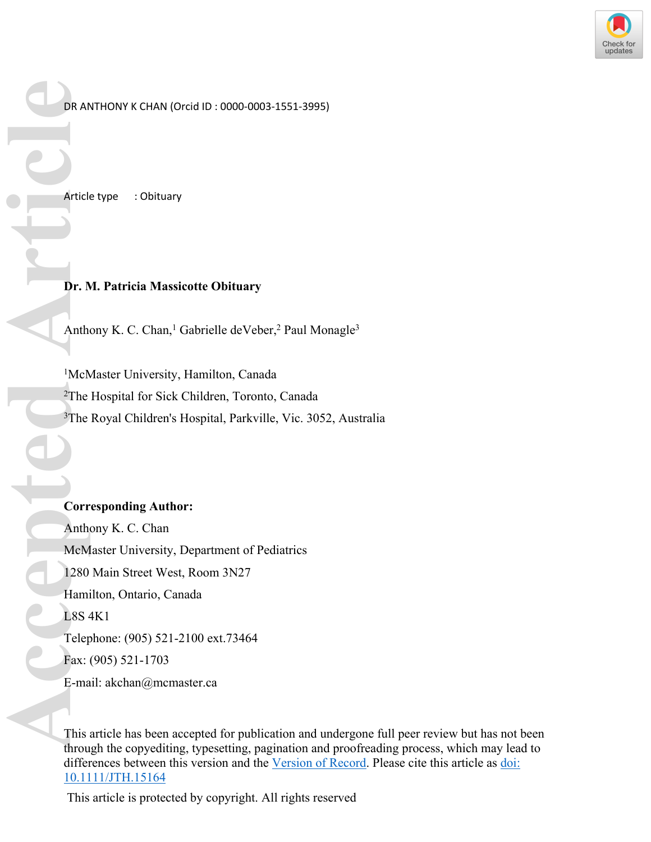

DR ANTHONY K CHAN (Orcid ID : 0000-0003-1551-3995)

Article type : Obituary

## **Dr. M. Patricia Massicotte Obituary**

Anthony K. C. Chan,<sup>1</sup> Gabrielle deVeber,<sup>2</sup> Paul Monagle<sup>3</sup>

<sup>1</sup>McMaster University, Hamilton, Canada <sup>2</sup>The Hospital for Sick Children, Toronto, Canada <sup>3</sup>The Royal Children's Hospital, Parkville, Vic. 3052, Australia

## **Corresponding Author:**

Anthony K. C. Chan McMaster University, Department of Pediatrics 1280 Main Street West, Room 3N27 Hamilton, Ontario, Canada L8S 4K1 Telephone: (905) 521-2100 ext.73464 Fax: (905) 521-1703 E-mail: [akchan@mcmaster.ca](mailto:akchan@mcmaster.ca) **Example 1280**<br> **Accepted Article**<br> **Accepted Arthur Anthropy 1280**<br>
Hami 1280<br>
Hami 1280<br>
Hami 1280<br>
Hami 1280<br>
Hami 1280<br>
Hami 1581<br>
E-ma<br>
This throu

This article has been accepted for publication and undergone full peer review but has not been through the copyediting, typesetting, pagination and proofreading process, which may lead to differences between this version and the [Version of Record.](https://doi.org/10.1111/JTH.15164) Please cite this article as [doi:](https://doi.org/10.1111/JTH.15164)  [10.1111/JTH.15164](https://doi.org/10.1111/JTH.15164)

This article is protected by copyright. All rights reserved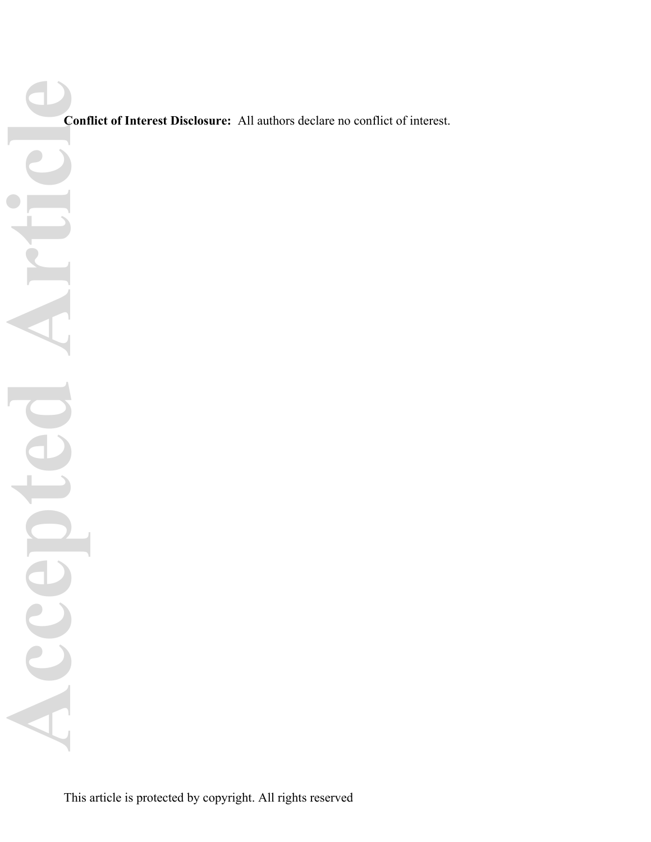**Conflict of Interest Disclosure:** All authors declare no conflict of interest.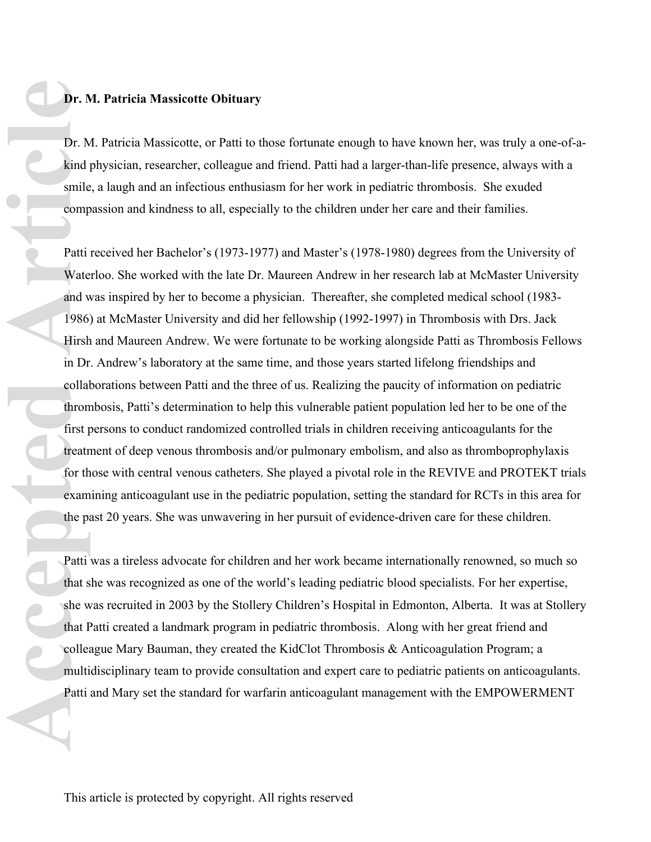## **Dr. M. Patricia Massicotte Obituary**

Dr. M. Patricia Massicotte, or Patti to those fortunate enough to have known her, was truly a one-of-akind physician, researcher, colleague and friend. Patti had a larger-than-life presence, always with a smile, a laugh and an infectious enthusiasm for her work in pediatric thrombosis. She exuded compassion and kindness to all, especially to the children under her care and their families.

Patti received her Bachelor's (1973-1977) and Master's (1978-1980) degrees from the University of Waterloo. She worked with the late Dr. Maureen Andrew in her research lab at McMaster University and was inspired by her to become a physician. Thereafter, she completed medical school (1983- 1986) at McMaster University and did her fellowship (1992-1997) in Thrombosis with Drs. Jack Hirsh and Maureen Andrew. We were fortunate to be working alongside Patti as Thrombosis Fellows in Dr. Andrew's laboratory at the same time, and those years started lifelong friendships and collaborations between Patti and the three of us. Realizing the paucity of information on pediatric thrombosis, Patti's determination to help this vulnerable patient population led her to be one of the first persons to conduct randomized controlled trials in children receiving anticoagulants for the treatment of deep venous thrombosis and/or pulmonary embolism, and also as thromboprophylaxis for those with central venous catheters. She played a pivotal role in the REVIVE and PROTEKT trials examining anticoagulant use in the pediatric population, setting the standard for RCTs in this area for the past 20 years. She was unwavering in her pursuit of evidence-driven care for these children. **Access 1998**<br> **Access 1998**<br> **Access 1998**<br> **Activate and v**<br> **Activate and v**<br> **Activate and v**<br> **Activate and v**<br> **Activate and v**<br> **Activate in Dr**<br> **Collar**<br> **Activate Properent in Patti**<br> **Activate Properent Patti**<br>

Patti was a tireless advocate for children and her work became internationally renowned, so much so that she was recognized as one of the world's leading pediatric blood specialists. For her expertise, she was recruited in 2003 by the Stollery Children's Hospital in Edmonton, Alberta. It was at Stollery that Patti created a landmark program in pediatric thrombosis. Along with her great friend and colleague Mary Bauman, they created the KidClot Thrombosis & Anticoagulation Program; a multidisciplinary team to provide consultation and expert care to pediatric patients on anticoagulants. Patti and Mary set the standard for warfarin anticoagulant management with the EMPOWERMENT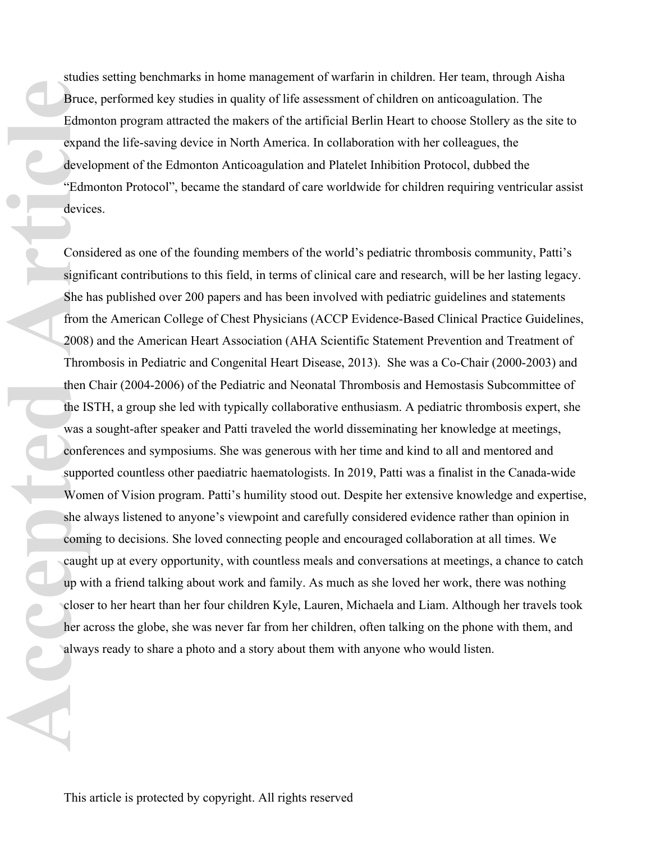studies setting benchmarks in home management of warfarin in children. Her team, through Aisha Bruce, performed key studies in quality of life assessment of children on anticoagulation. The Edmonton program attracted the makers of the artificial Berlin Heart to choose Stollery as the site to expand the life-saving device in North America. In collaboration with her colleagues, the development of the Edmonton Anticoagulation and Platelet Inhibition Protocol, dubbed the "Edmonton Protocol", became the standard of care worldwide for children requiring ventricular assist devices.

Considered as one of the founding members of the world's pediatric thrombosis community, Patti's significant contributions to this field, in terms of clinical care and research, will be her lasting legacy. She has published over 200 papers and has been involved with pediatric guidelines and statements from the American College of Chest Physicians (ACCP Evidence-Based Clinical Practice Guidelines, 2008) and the American Heart Association (AHA Scientific Statement Prevention and Treatment of Thrombosis in Pediatric and Congenital Heart Disease, 2013). She was a Co-Chair (2000-2003) and then Chair (2004-2006) of the Pediatric and Neonatal Thrombosis and Hemostasis Subcommittee of the ISTH, a group she led with typically collaborative enthusiasm. A pediatric thrombosis expert, she was a sought-after speaker and Patti traveled the world disseminating her knowledge at meetings, conferences and symposiums. She was generous with her time and kind to all and mentored and supported countless other paediatric haematologists. In 2019, Patti was a finalist in the Canada-wide Women of Vision program. Patti's humility stood out. Despite her extensive knowledge and expertise, she always listened to anyone's viewpoint and carefully considered evidence rather than opinion in coming to decisions. She loved connecting people and encouraged collaboration at all times. We caught up at every opportunity, with countless meals and conversations at meetings, a chance to catch up with a friend talking about work and family. As much as she loved her work, there was nothing closer to her heart than her four children Kyle, Lauren, Michaela and Liam. Although her travels took her across the globe, she was never far from her children, often talking on the phone with them, and always ready to share a photo and a story about them with anyone who would listen. Bruce<br>
Edmo<br>
expan<br>
devel<br>
"Edmo<br>
devic<br>
"Edmo<br>
devic<br>
"Edmo<br>
devic<br>
Cons<br>
signil<br>
She h<br>
from<br>
2008<br>
Throu<br>
the IS<br>
was a<br>
confe<br>
suppy<br>
Wom<br>
she a<br>
confe<br>
suppy<br>
Wom<br>
she a<br>
confe<br>
gradium<br>
y confe<br>
suppy<br>
wom<br>
she a<br>
co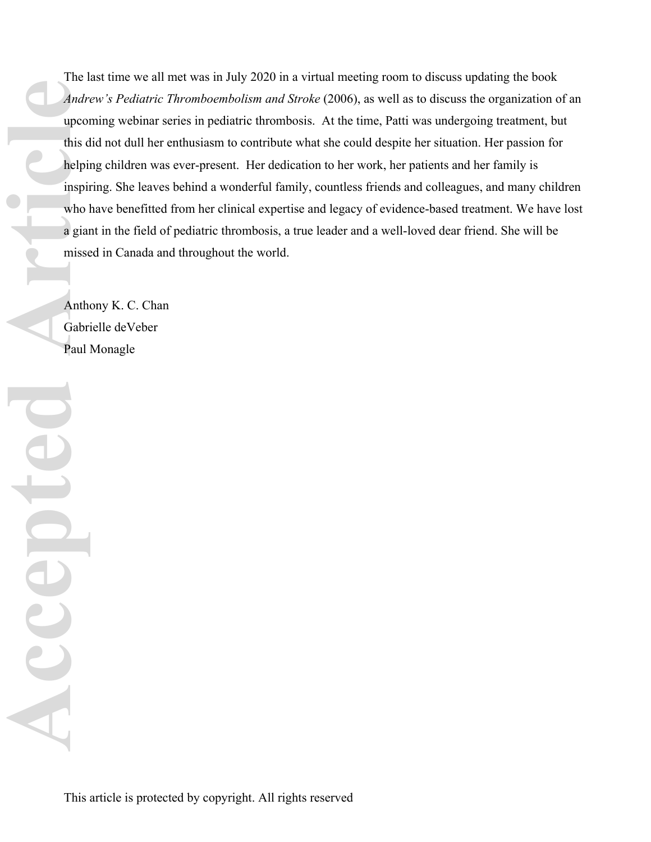The last time we all met was in July 2020 in a virtual meeting room to discuss updating the book *Andrew's Pediatric Thromboembolism and Stroke* (2006), as well as to discuss the organization of an upcoming webinar series in pediatric thrombosis. At the time, Patti was undergoing treatment, but this did not dull her enthusiasm to contribute what she could despite her situation. Her passion for helping children was ever-present. Her dedication to her work, her patients and her family is inspiring. She leaves behind a wonderful family, countless friends and colleagues, and many children who have benefitted from her clinical expertise and legacy of evidence-based treatment. We have lost a giant in the field of pediatric thrombosis, a true leader and a well-loved dear friend. She will be missed in Canada and throughout the world. **Andre**<br>
upcon<br>
this d<br>
upcon<br>
this d<br>
lelpin<br>
who l<br>
a gian<br>
misse<br>
Anth-<br>
Gabr:<br>
Paul

Anthony K. C. Chan Gabrielle deVeber Paul Monagle

E

ACCC